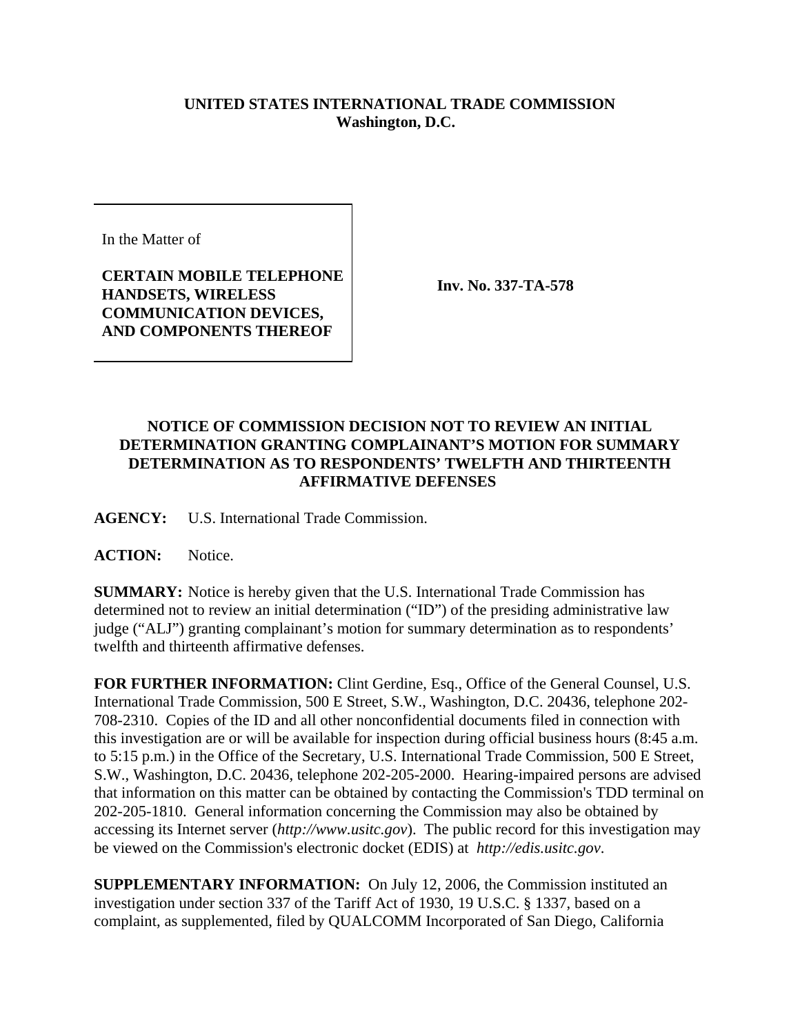## **UNITED STATES INTERNATIONAL TRADE COMMISSION Washington, D.C.**

In the Matter of

**CERTAIN MOBILE TELEPHONE HANDSETS, WIRELESS COMMUNICATION DEVICES, AND COMPONENTS THEREOF**

**Inv. No. 337-TA-578**

## **NOTICE OF COMMISSION DECISION NOT TO REVIEW AN INITIAL DETERMINATION GRANTING COMPLAINANT'S MOTION FOR SUMMARY DETERMINATION AS TO RESPONDENTS' TWELFTH AND THIRTEENTH AFFIRMATIVE DEFENSES**

**AGENCY:** U.S. International Trade Commission.

ACTION: Notice.

**SUMMARY:** Notice is hereby given that the U.S. International Trade Commission has determined not to review an initial determination ("ID") of the presiding administrative law judge ("ALJ") granting complainant's motion for summary determination as to respondents' twelfth and thirteenth affirmative defenses.

**FOR FURTHER INFORMATION:** Clint Gerdine, Esq., Office of the General Counsel, U.S. International Trade Commission, 500 E Street, S.W., Washington, D.C. 20436, telephone 202- 708-2310. Copies of the ID and all other nonconfidential documents filed in connection with this investigation are or will be available for inspection during official business hours (8:45 a.m. to 5:15 p.m.) in the Office of the Secretary, U.S. International Trade Commission, 500 E Street, S.W., Washington, D.C. 20436, telephone 202-205-2000. Hearing-impaired persons are advised that information on this matter can be obtained by contacting the Commission's TDD terminal on 202-205-1810. General information concerning the Commission may also be obtained by accessing its Internet server (*http://www.usitc.gov*). The public record for this investigation may be viewed on the Commission's electronic docket (EDIS) at *http://edis.usitc.gov*.

**SUPPLEMENTARY INFORMATION:** On July 12, 2006, the Commission instituted an investigation under section 337 of the Tariff Act of 1930, 19 U.S.C. § 1337, based on a complaint, as supplemented, filed by QUALCOMM Incorporated of San Diego, California